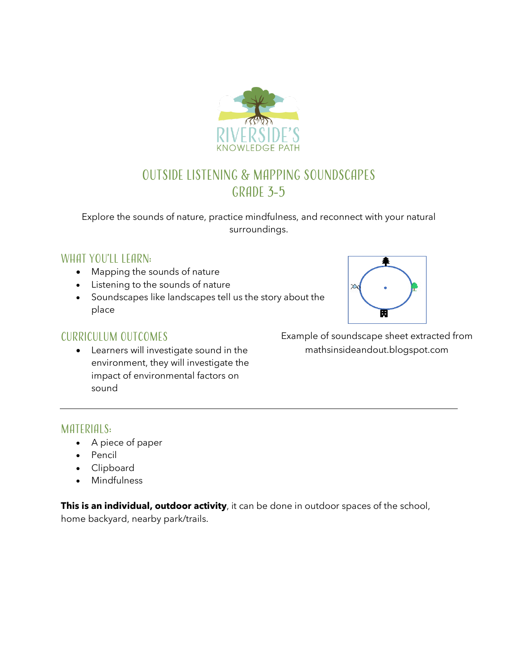

# Outside Listening & Mapping Soundscapes GRADE 3-5

Explore the sounds of nature, practice mindfulness, and reconnect with your natural surroundings.

### WHAT YOU'LL LEARN:

- Mapping the sounds of nature
- Listening to the sounds of nature
- Soundscapes like landscapes tell us the story about the place



## Curriculum outcomes

• Learners will investigate sound in the environment, they will investigate the impact of environmental factors on sound

Example of soundscape sheet extracted from mathsinsideandout.blogspot.com

### MATERIALS:

- A piece of paper
- Pencil
- Clipboard
- Mindfulness

**This is an individual, outdoor activity**, it can be done in outdoor spaces of the school, home backyard, nearby park/trails.